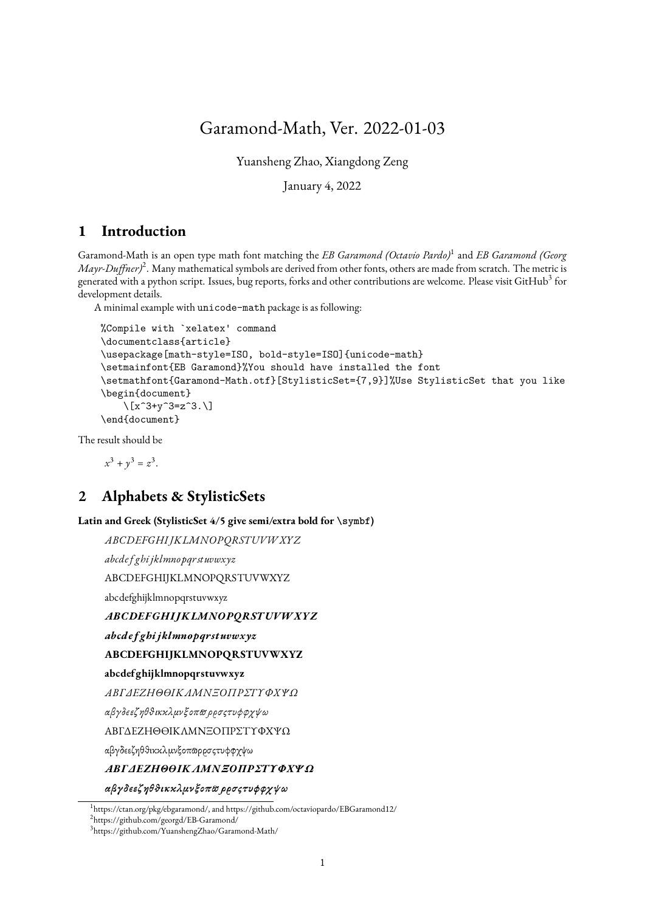# Garamond-Math, Ver. 2022-01-03

Yuansheng Zhao, Xiangdong Zeng

January 4, 2022

## **1 Introduction**

Garamond-Math is an open type math font matching the *EB Garamond (Octavio Pardo)*<sup>1</sup> and *EB Garamond (Georg* Mayr-Duffner)<sup>2</sup>. Many mathematical symbols are derived from other fonts, others are made from scratch. The metric is generated with a python script. Issues, bug reports, forks and other contributions are welcome. Please visit GitHub $^3$  for development details.

A minimal example with unicode-math package is as following:

```
%Compile with `xelatex' command
\documentclass{article}
\usepackage[math-style=ISO, bold-style=ISO]{unicode-math}
\setmainfont{EB Garamond}%You should have installed the font
\setmathfont{Garamond-Math.otf}[StylisticSet={7,9}]%Use StylisticSet that you like
\begin{document}
    \left[\right] \left[\right] x^3+y^3=z^3.\\end{document}
```
The result should be

 $x^3 + y^3 = z^3$ .

## **2 Alphabets & StylisticSets**

**Latin and Greek (StylisticSet 4/5 give semi/extra bold for \symbf)**

```
ABCDEFGHIJKLMNOPORSTUVWXYZ
abcdef ghi jklmnopqrstuvwxyz
ABCDEFGHIJKLMNOPQRSTUVWXYZ
abcdefghijklmnopqrstuvwxyz
ABCDEFGHIJKLMNOPORSTUVWXYZ
abcdef ghi jklmnopqrstuvwxyz
ABCDEFGHIJKLMNOPQRSTUVWXYZ
abcdefghijklmnopqrstuvwxyz
ΑΒΓΔΕΖΗΘΘΙΚΑΜΝΞΟΠΡΣΤΥΦΧΨΩ
αβγδεεζηθθικκλμνξοπωρρσςτυφφχψω
ABΓΔEZHΘϴIKΛMNΞOΠPΣTΥΦXΨΩ
```
αβγδεεζηθθικκλμνξοπωρρσςτυφφχψω

#### ΑΒΓΔΕΖΗΘΘΙΚΛΜΝΞΟΠΡΣΤΥΦΧΨΩ

αβγδεεζηθθικκλμνξοπω ρρσςτυφφγψω

2 https://github.com/georgd/EB-Garamond/

<sup>1</sup> https://ctan.org/pkg/ebgaramond/, and https://github.com/octaviopardo/EBGaramond12/

<sup>3</sup> https://github.com/YuanshengZhao/Garamond-Math/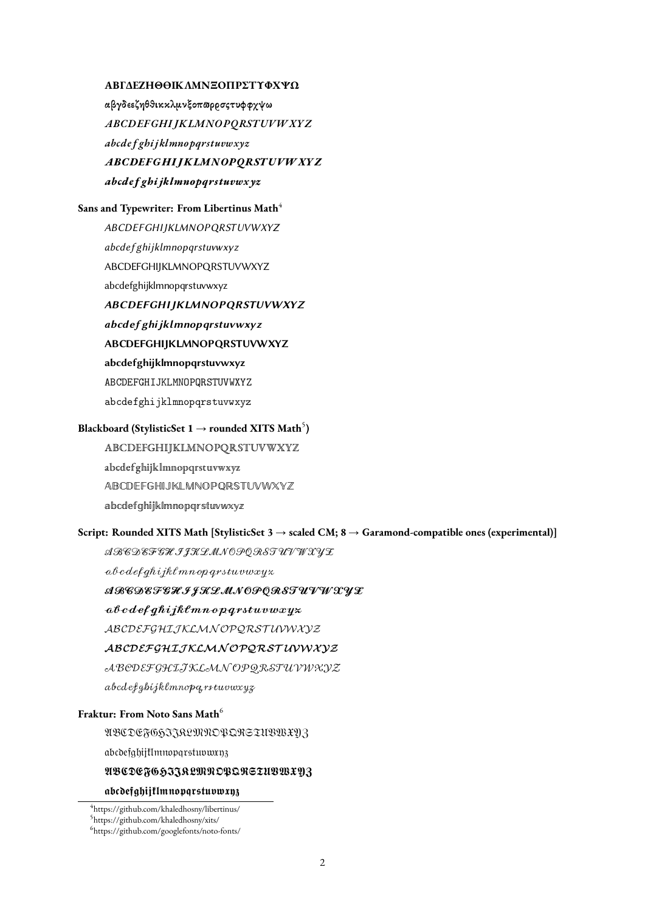### ΑΒΓΔΕΖΗΘΘΙΚΛΜΝΞΟΠΡΣΤΥΦΧΨΩ

αβγδεεζηθθικκλμνξοπωρρσςτυφφχψω ABCDEFGHIJKLMNOPQRSTUVWXYZ abcdefghijklmnopqrstuvwxyz ABCDEFGHI IKLMNOPORSTUVWXYZ abcdefghijklmnoparstuvwxyz

#### **Sans and Typewriter: From Libertinus Math<sup>4</sup>**

ABCDEFGHIJKLMNOPQRSTUVWXYZ abcdef ghijklmnopqrstuvwxyz ABCDEFGHIJKLMNOPQRSTUVWXYZ abcdefghijklmnopgrstuvwxvz **ABCDEFGHIJKLMNOPQRSTUVWXYZ** 

abcdefghijklmnopqrstuvwxyz ABCDEFGHIJKLMNOPQRSTUVWXYZ abcdefghijklmnopqrstuvwxyz ABCDEFGHIJKLMNOPQRSTUVWXYZ abcdefghijklmnopqrstuvwxyz

## **Blackboard (StylisticSet 1 → rounded XITS Math** $^5$ **)**

**ABCDEFGHIJKLMNOPQRSTUVWXYZ** abcdefghijklmnopqrstuvwxyz ABCDEFGHIJKLMNOPORSTUVWXYZ abcdefqhijklmnopqrstuvwxyz

#### **Script: Rounded XITS Math [StylisticSet 3** → **scaled CM; 8** → **Garamond-compatible ones (experimental)]**

*АВЕДЕFSHIJKLMNOPORSTUVWXYL* 

 $abcde\{qhi\}$ jkl mnop $q$ rstuvwxyz

### ARCDEFCHIJKLMNOPQRSTUVWXYX

## ${abcdefghijk}$ lmnopqrstuvwxyz

ABCDEFGHIJKLMNOPQRSTUVWXYZ

### ABCDEFGHIJKLMNOPQRSTUVWXYZ

 ${\mathcal{A}} {\mathcal{B}} {\mathcal{C}} {\mathcal{D}} {\mathcal{E}} {\mathcal{F}} {\mathcal{G}} {\mathcal{H}} {\mathcal{I}} {\mathcal{K}} {\mathcal{L}} {\mathcal{M}} {\mathcal{N}} {\mathcal{O}} {\mathcal{P}} {\mathcal{Q}} {\mathcal{R}} {\mathcal{S}} {\mathcal{T}} {\mathcal{U}} {\mathcal{V}} {\mathcal{W}} {\mathcal{K}} {\mathcal{Y}} {\mathcal{Z}}$ 

abcdefghijklmnoparstuvwxyz

## **Fraktur: From Noto Sans Math**<sup>6</sup>

UBCDEFG5JJRLMMOPQRGTUBWXV3

abcdefghijtImnopqrstuvwxn3

#### UBCDEFG533RLMNDBQRGTUBWXY3

#### abcdefghijflmnopgrstuvwxy3

<sup>4</sup> https://github.com/khaledhosny/libertinus/

<sup>5</sup> https://github.com/khaledhosny/xits/

<sup>6</sup> https://github.com/googlefonts/noto-fonts/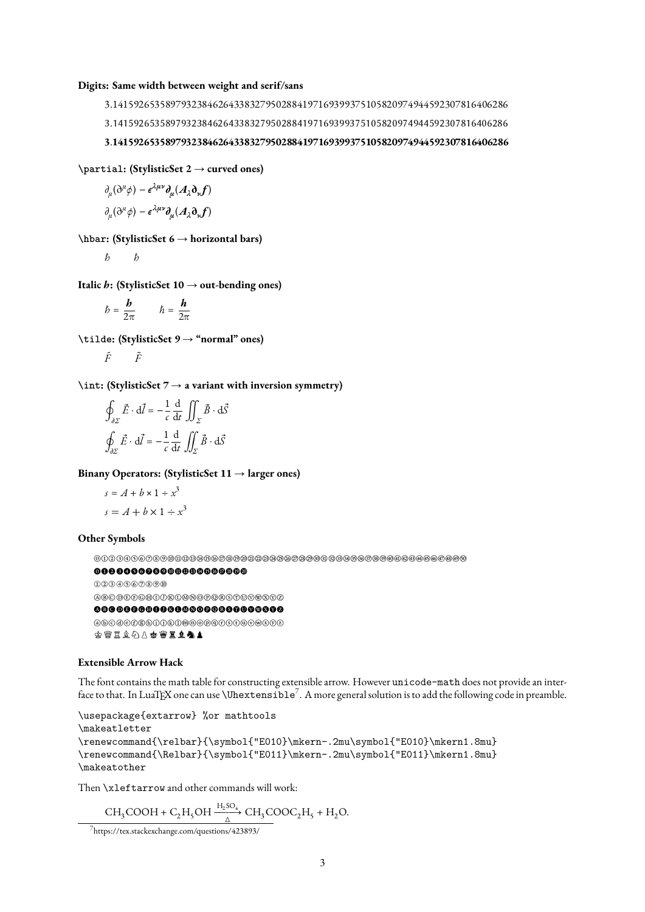#### **Digits: Same width between weight and serif/sans**

3.141592653589793238462643383279502884197169399375105820974944592307816406286 3.141592653589793238462643383279502884197169399375105820974944592307816406286 3.141592653589793238462643383279502884197169399375105820974944592307816406286

**\partial: (StylisticSet 2** → **curved ones)**

$$
\partial_{\mu}(\partial^{\mu}\phi) - \epsilon^{\lambda\mu\nu}\partial_{\mu}(A_{\lambda}\partial_{\nu}f)
$$

$$
\partial_{\mu}(\partial^{\mu}\phi) - \epsilon^{\lambda\mu\nu}\partial_{\mu}(A_{\lambda}\partial_{\nu}f)
$$

**\hbar: (StylisticSet 6** → **horizontal bars)**

 $*b*$ 

**Italic : (StylisticSet 10** → **out-bending ones)**

 $\hbar = \frac{\mathbf{b}}{2\pi}$   $\hbar = \frac{\mathbf{h}}{2\pi}$ 

**\tilde: (StylisticSet 9** → **"normal" ones)**

$$
\tilde{F} \qquad \tilde{F}
$$

**\int: (StylisticSet 7** → **a variant with inversion symmetry)**

$$
\oint_{\partial \Sigma} \vec{E} \cdot d\vec{l} = -\frac{1}{c} \frac{d}{dt} \iint_{\Sigma} \vec{B} \cdot d\vec{S}
$$
\n
$$
\oint_{\partial \Sigma} \vec{E} \cdot d\vec{l} = -\frac{1}{c} \frac{d}{dt} \iint_{\Sigma} \vec{B} \cdot d\vec{S}
$$

**Binany Operators: (StylisticSet 11** → **larger ones)**

$$
s = A + b \times 1 \div x^3
$$
  

$$
s = A + b \times 1 \div x^3
$$

#### **Other Symbols**

⓪①②③④⑤⑥⑦⑧⑨⑩⑪⑫⑬⑭⑮⑯⑰⑱⑲⑳㉑㉒㉓㉔㉕㉖㉗㉘㉙㉚㉛㉜㉝㉞㉟㊱㊲㊳㊴㊵㊶㊷㊸㊹㊺㊻㊼㊽㊾㊿

#### ⓿❶❷❸❹❺❻❼❽❾❿⓫⓬⓭⓮⓯⓰⓱⓲⓳⓴

⓵⓶⓷⓸⓹⓺⓻⓼⓽⓾ ⒶⒷⒸⒹⒺⒻⒼⒽⒾⒿⓀⓁⓂⓃⓄⓅⓆⓇⓈⓉⓊⓋⓌⓍⓎⓏ  $0000000000000000000000000$  $\begin{small} \textcircled{0} \end{small}$ ♔♕♖♗♘♙♚♛♜♝♞♟

#### **Extensible Arrow Hack**

The font contains the math table for constructing extensible arrow. However unicode-math does not provide an interface to that. In LuaTEX one can use **\Uhextensible<sup>7</sup>. A** more general solution is to add the following code in preamble.

```
\usepackage{extarrow} %or mathtools
\makeatletter
\renewcommand{\relbar}{\symbol{"E010}\mkern-.2mu\symbol{"E010}\mkern1.8mu}
\renewcommand{\Relbar}{\symbol{"E011}\mkern-.2mu\symbol{"E011}\mkern1.8mu}
\makeatother
```
Then \xleftarrow and other commands will work:

```
CH_3COOH + C_2H_5OH \xrightarrow[\Delta]{H_2SO_4} CH_3COOC_2H_5 + H_2O.
```
<sup>7</sup> https://tex.stackexchange.com/questions/423893/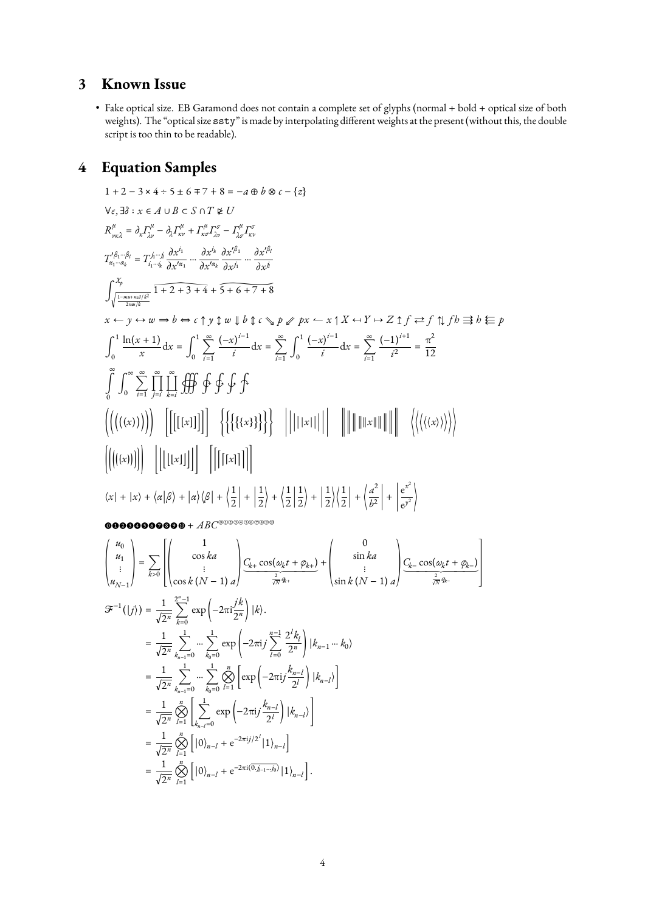# **3 Known Issue**

• Fake optical size. EB Garamond does not contain a complete set of glyphs (normal + bold + optical size of both weights). The "optical size ssty" is made by interpolating different weights at the present (without this, the double script is too thin to be readable).

# **4 Equation Samples**

1 + 2 - 3 x 4 + 5 \n5 x 6 + 7 + 8 = -a \n6 b \n8 c - {z}  
\nV<sub>z</sub>, 3
$$
\hat{\sigma}
$$
:  $x \in A \cup B \subset S \cap T \not\in U$   
\n $R_{m,1}^{k} = \partial_{x} I_{n}^{k} - \partial_{x} I_{n}^{k} + I_{n}^{k} I_{n}^{k} - I_{n}^{k} I_{n}^{k} - I_{n}^{k} I_{n}^{k}$   
\n $T_{n}^{(\delta_{1} - \beta_{1}} \overline{\partial_{x}} - I_{n}^{(\delta_{1} - \beta_{1})} \overline{\partial_{x}} \overline{\partial_{x}} - I_{n}^{k} I_{n}^{k} - \partial_{x} I_{n}^{k} - \partial_{x} I_{n}^{k} \overline{\partial_{x}} \overline{\partial_{x}} \overline{\partial_{x}} \overline{\partial_{x}} \overline{\partial_{x}} \overline{\partial_{x}} \overline{\partial_{x}} \overline{\partial_{x}} \overline{\partial_{x}} \overline{\partial_{x}} \overline{\partial_{x}} \overline{\partial_{x}} \overline{\partial_{x}} \overline{\partial_{x}} \overline{\partial_{x}} \overline{\partial_{x}} \overline{\partial_{x}} \overline{\partial_{x}} \overline{\partial_{x}} \overline{\partial_{x}} \overline{\partial_{x}} \overline{\partial_{x}} \overline{\partial_{x}} \overline{\partial_{x}} \overline{\partial_{x}} \overline{\partial_{x}} \overline{\partial_{x}} \overline{\partial_{x}} \overline{\partial_{x}} \overline{\partial_{x}} \overline{\partial_{x}} \overline{\partial_{x}} \overline{\partial_{x}} \overline{\partial_{x}} \overline{\partial_{x}} \overline{\partial_{x}} \overline{\partial_{x}} \overline{\partial_{x}} \overline{\partial_{x}} \overline{\partial_{x}} \overline{\partial_{x}} \overline{\partial_{x}} \overline{\partial_{x}} \overline{\partial_{x}} \overline{\partial_{x}} \overline{\partial_{x}} \overline{\partial_{x}} \overline{\partial_{x}} \overline{\partial_{x}} \overline{\partial_{x}} \overline{\partial_{x}} \overline{\partial_{x}} \overline{\partial_{x}} \overline{\partial_{x}} \overline{\partial_{x}} \overline{\partial_{x}} \overline{\partial_{x}} \overline{\partial_{x}} \overline{\partial_{x}} \overline{\partial_{x}} \overline{\partial_{x}} \$